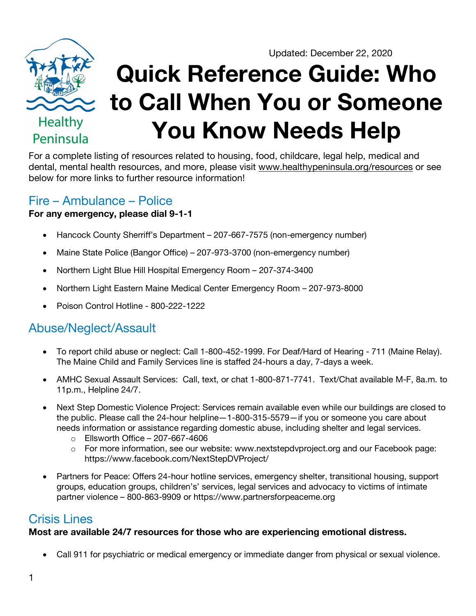



**Quick Reference Guide: Who to Call When You or Someone You Know Needs Help**

For a complete listing of resources related to housing, food, childcare, legal help, medical and dental, mental health resources, and more, please visit www.healthypeninsula.org/resources or see below for more links to further resource information!

### Fire – Ambulance – Police

#### **For any emergency, please dial 9-1-1**

- Hancock County Sherriff's Department 207-667-7575 (non-emergency number)
- Maine State Police (Bangor Office) 207-973-3700 (non-emergency number)
- Northern Light Blue Hill Hospital Emergency Room 207-374-3400
- Northern Light Eastern Maine Medical Center Emergency Room 207-973-8000
- Poison Control Hotline 800-222-1222

## Abuse/Neglect/Assault

- To report child abuse or neglect: Call 1-800-452-1999. For Deaf/Hard of Hearing 711 (Maine Relay). The Maine Child and Family Services line is staffed 24-hours a day, 7-days a week.
- AMHC Sexual Assault Services: Call, text, or chat 1-800-871-7741. Text/Chat available M-F, 8a.m. to 11p.m., Helpline 24/7.
- Next Step Domestic Violence Project: Services remain available even while our buildings are closed to the public. Please call the 24-hour helpline—1-800-315-5579—if you or someone you care about needs information or assistance regarding domestic abuse, including shelter and legal services.
	- $\circ$  Ellsworth Office 207-667-4606
	- o For more information, see our website: www.nextstepdvproject.org and our Facebook page: https://www.facebook.com/NextStepDVProject/
- Partners for Peace: Offers 24-hour hotline services, emergency shelter, transitional housing, support groups, education groups, children's' services, legal services and advocacy to victims of intimate partner violence – 800-863-9909 or https://www.partnersforpeaceme.org

## Crisis Lines

#### **Most are available 24/7 resources for those who are experiencing emotional distress.**

• Call 911 for psychiatric or medical emergency or immediate danger from physical or sexual violence.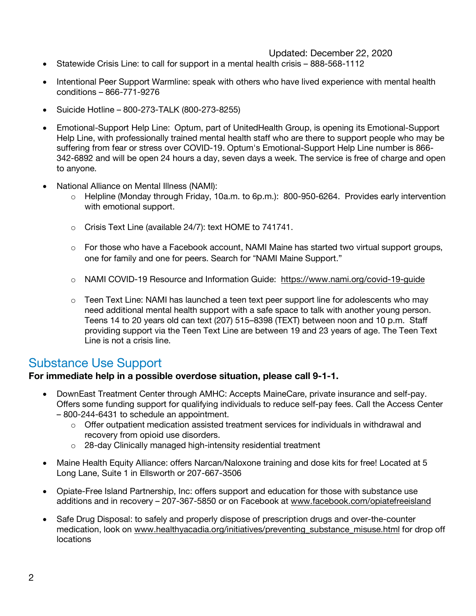#### Updated: December 22, 2020

- Statewide Crisis Line: to call for support in a mental health crisis 888-568-1112
- Intentional Peer Support Warmline: speak with others who have lived experience with mental health conditions – 866-771-9276
- Suicide Hotline 800-273-TALK (800-273-8255)
- Emotional-Support Help Line: Optum, part of UnitedHealth Group, is opening its Emotional-Support Help Line, with professionally trained mental health staff who are there to support people who may be suffering from fear or stress over COVID-19. Optum's Emotional-Support Help Line number is 866- 342-6892 and will be open 24 hours a day, seven days a week. The service is free of charge and open to anyone.
- National Alliance on Mental Illness (NAMI):
	- $\circ$  Helpline (Monday through Friday, 10a.m. to 6p.m.): 800-950-6264. Provides early intervention with emotional support.
	- o Crisis Text Line (available 24/7): text HOME to 741741.
	- $\circ$  For those who have a Facebook account, NAMI Maine has started two virtual support groups, one for family and one for peers. Search for "NAMI Maine Support."
	- o NAMI COVID-19 Resource and Information Guide: https://www.nami.org/covid-19-guide
	- $\circ$  Teen Text Line: NAMI has launched a teen text peer support line for adolescents who may need additional mental health support with a safe space to talk with another young person. Teens 14 to 20 years old can text (207) 515–8398 (TEXT) between noon and 10 p.m. Staff providing support via the Teen Text Line are between 19 and 23 years of age. The Teen Text Line is not a crisis line.

## Substance Use Support

#### **For immediate help in a possible overdose situation, please call 9-1-1.**

- DownEast Treatment Center through AMHC: Accepts MaineCare, private insurance and self-pay. Offers some funding support for qualifying individuals to reduce self-pay fees. Call the Access Center – 800-244-6431 to schedule an appointment.
	- $\circ$  Offer outpatient medication assisted treatment services for individuals in withdrawal and recovery from opioid use disorders.
	- o 28-day Clinically managed high-intensity residential treatment
- Maine Health Equity Alliance: offers Narcan/Naloxone training and dose kits for free! Located at 5 Long Lane, Suite 1 in Ellsworth or 207-667-3506
- Opiate-Free Island Partnership, Inc: offers support and education for those with substance use additions and in recovery – 207-367-5850 or on Facebook at www.facebook.com/opiatefreeisland
- Safe Drug Disposal: to safely and properly dispose of prescription drugs and over-the-counter medication, look on www.healthyacadia.org/initiatives/preventing\_substance\_misuse.html for drop off locations